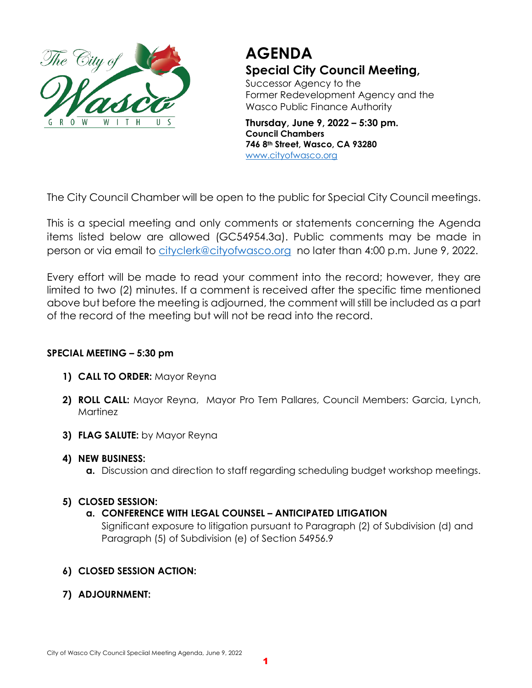

# **AGENDA Special City Council Meeting,**

Successor Agency to the Former Redevelopment Agency and the Wasco Public Finance Authority

**Thursday, June 9, 2022 – 5:30 pm. Council Chambers 746 8th Street, Wasco, CA 93280** [www.cityofwasco.org](http://www.cityofwasco.org/)

The City Council Chamber will be open to the public for Special City Council meetings.

This is a special meeting and only comments or statements concerning the Agenda items listed below are allowed (GC54954.3a). Public comments may be made in person or via email to [cityclerk@cityofwasco.org](mailto:cityclerk@cityofwasco.org) no later than 4:00 p.m. June 9, 2022.

Every effort will be made to read your comment into the record; however, they are limited to two (2) minutes. If a comment is received after the specific time mentioned above but before the meeting is adjourned, the comment will still be included as a part of the record of the meeting but will not be read into the record.

## **SPECIAL MEETING – 5:30 pm**

- **1) CALL TO ORDER:** Mayor Reyna
- **2) ROLL CALL:** Mayor Reyna, Mayor Pro Tem Pallares, Council Members: Garcia, Lynch, **Martinez**
- **3) FLAG SALUTE:** by Mayor Reyna
- **4) NEW BUSINESS:**
	- **a.** Discussion and direction to staff regarding scheduling budget workshop meetings.

## **5) CLOSED SESSION:**

## **a. CONFERENCE WITH LEGAL COUNSEL – ANTICIPATED LITIGATION**

Significant exposure to litigation pursuant to Paragraph (2) of Subdivision (d) and Paragraph (5) of Subdivision (e) of Section 54956.9

## **6) CLOSED SESSION ACTION:**

**7) ADJOURNMENT:**